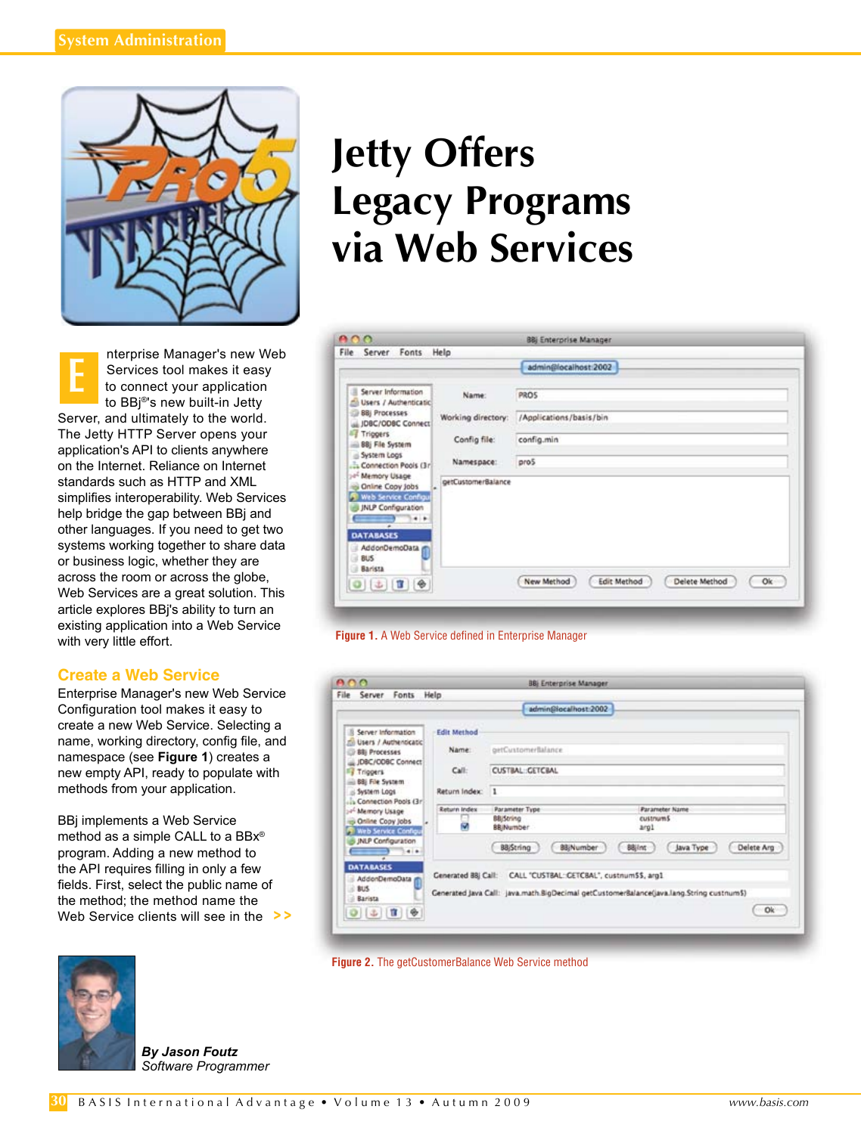

nterprise Manager's new Web Services tool makes it easy to connect your application to BBj®'s new built-in Jetty server, and ultimately to the world. The Jetty HTTP Server opens your application's API to clients anywhere on the Internet. Reliance on Internet standards such as HTTP and XML simplifies interoperability. Web Services help bridge the gap between BBj and other languages. If you need to get two systems working together to share data or business logic, whether they are across the room or across the globe, Web Services are a great solution. This article explores BBj's ability to turn an existing application into a Web Service with very little effort. **E**

### **Create a Web Service**

Enterprise Manager's new Web Service Configuration tool makes it easy to create a new Web Service. Selecting a name, working directory, config file, and namespace (see **Figure 1**) creates a new empty API, ready to populate with methods from your application.

BBj implements a Web Service method as a simple CALL to a BBx® program. Adding a new method to the API requires filling in only a few fields. First, select the public name of the method; the method name the Web Service clients will see in the **> >**



*By Jason Foutz Software Programmer*

# **Jetty Offers Legacy Programs via Web Services**





|                                                                                                                                             |                    | admin@localhost:2002                                          |                                                                                          |
|---------------------------------------------------------------------------------------------------------------------------------------------|--------------------|---------------------------------------------------------------|------------------------------------------------------------------------------------------|
|                                                                                                                                             |                    |                                                               |                                                                                          |
| Server Information<br>n                                                                                                                     | <b>Edit Method</b> |                                                               |                                                                                          |
| mil Users / Authenticatic<br>Bill Processes<br>JDBC/COBC Connect<br>Figgers<br>BBI File System<br>S System Logs<br>La Connection Pools (3r) | Name:              | getCustomerBalance                                            |                                                                                          |
|                                                                                                                                             | Call:              | <b>CUSTBAL: GETCBAL</b>                                       |                                                                                          |
|                                                                                                                                             | Return Index:      | п                                                             |                                                                                          |
| of Memory Usage                                                                                                                             | Return Index       | Parameter Type                                                | <b>Parameter Name</b>                                                                    |
| Online Copy Jobs<br>Web Service Configur<br>JNLP Configuration<br>4.4<br>$\overline{a}$                                                     |                    | <b>BB</b> iString<br>88 Number                                | custnumS<br>Arg1                                                                         |
|                                                                                                                                             |                    | 88 Number<br>BBjString                                        | Delete Arg<br>Java Type<br><b>BBilnt</b>                                                 |
| <b>DATABASES</b><br>AddenDemoData<br>BUS.<br>Barista                                                                                        |                    | Cenerated BBJ Call: CALL "CUSTBAL::CETCBAL", custnumSS, arg1. | Generated Java Call: java.math.BigDecimal getCustomer8alance(java.lang.String custnum\$) |

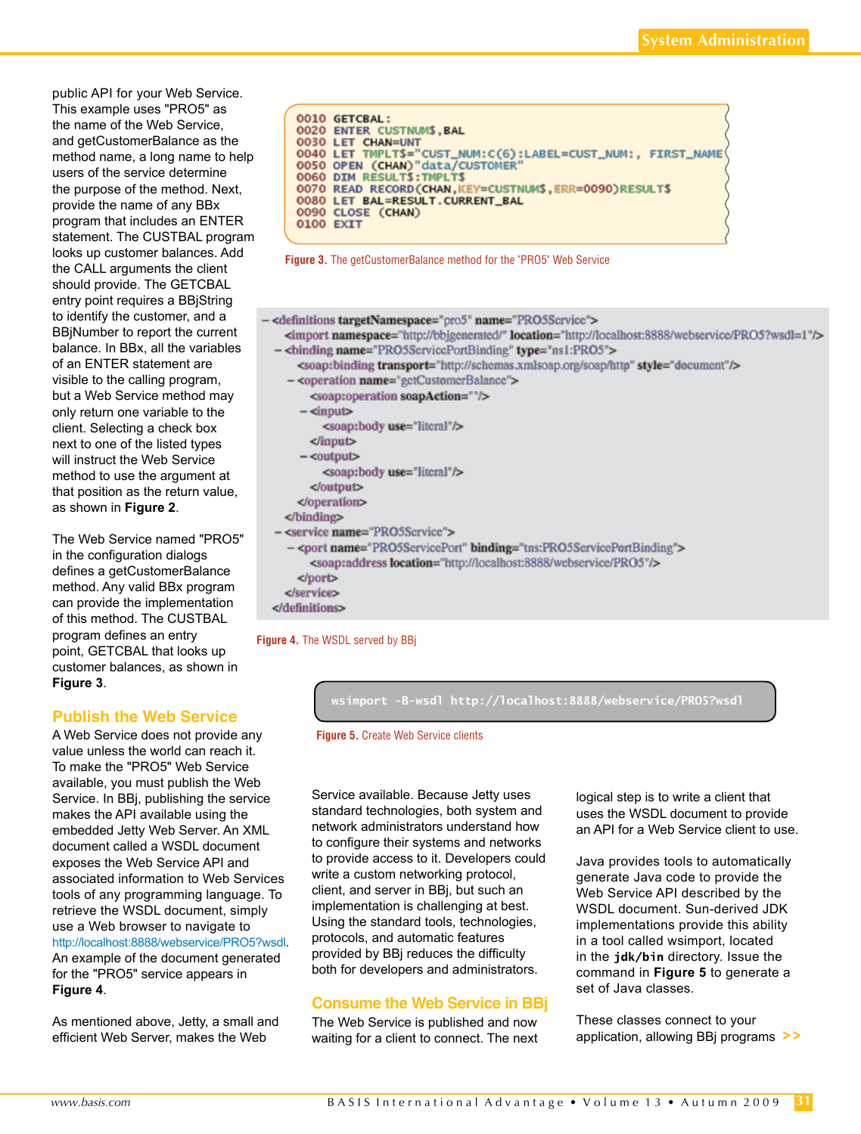public API for your Web Service. This example uses "PRO5" as the name of the Web Service, and getCustomerBalance as the method name, a long name to help users of the service determine the purpose of the method. Next, provide the name of any BBx program that includes an ENTER statement. The CUSTBAL program looks up customer balances. Add the CALL arguments the client should provide. The GETCBAL entry point requires a BBjString to identify the customer, and a BBjNumber to report the current balance. In BBx, all the variables of an ENTER statement are visible to the calling program, but a Web Service method may only return one variable to the client. Selecting a check box next to one of the listed types will instruct the Web Service method to use the argument at that position as the return value, as shown in **Figure 2**.

The Web Service named "PRO5" in the configuration dialogs defines a getCustomerBalance method. Any valid BBx program can provide the implementation of this method. The CUSTBAL program defines an entry point, GETCBAL that looks up customer balances, as shown in **Figure 3**.

# **Publish the Web Service**

A Web Service does not provide any value unless the world can reach it. To make the "PRO5" Web Service available, you must publish the Web Service. In BBj, publishing the service makes the API available using the embedded Jetty Web Server. An XML document called a WSDL document exposes the Web Service API and associated information to Web Services tools of any programming language. To retrieve the WSDL document, simply use a Web browser to navigate to [http://localhost:8888/webservice/PRO5?wsdl.](http://localhost:8888/webservice/PRO5?wsdl)  An example of the document generated for the "PRO5" service appears in **Figure 4**.

As mentioned above, Jetty, a small and efficient Web Server, makes the Web





#### - <definitions targetNamespace="pro5" name="PRO5Scrvice"> <import namespace="http://bbjgcnerated/" location="http://localhost:8888/webservice/PRO5?wsdl=1"/> - <br />
chinding name="PRO5ScrviccPortBinding" type="ns1:PRO5"> <soap:binding transport="http://schemas.xmlsoap.org/soap/http" style="document"/> - <operation name="gctCustomcrBalance"> <soap:operation soapAction=""/>  $-\langle$ input $\rangle$ <soap:body use="literal"/>  $\langle$ input $\rangle$  $-$ < $output$ > <soap:body use="literal"/> </output> </operation> </binding> - <service name="PRO5Scrvice"> - <port name="PRO5ScrvicePort" binding="tns:PRO5ScrvicePortBinding"> <soap:address location="http://localhost:8888/webservice/PRO5"/> </port> </service> </definitions>

#### **Figure 4.** The WSDL served by BBj



**Figure 5.** Create Web Service clients

Service available. Because Jetty uses standard technologies, both system and network administrators understand how to configure their systems and networks to provide access to it. Developers could write a custom networking protocol, client, and server in BBj, but such an implementation is challenging at best. Using the standard tools, technologies, protocols, and automatic features provided by BBj reduces the difficulty both for developers and administrators.

# **Consume the Web Service in BBj**

The Web Service is published and now waiting for a client to connect. The next logical step is to write a client that uses the WSDL document to provide an API for a Web Service client to use.

Java provides tools to automatically generate Java code to provide the Web Service API described by the WSDL document. Sun-derived JDK implementations provide this ability in a tool called wsimport, located in the **jdk/bin** directory. Issue the command in **Figure 5** to generate a set of Java classes.

These classes connect to your application, allowing BBj programs **> >**